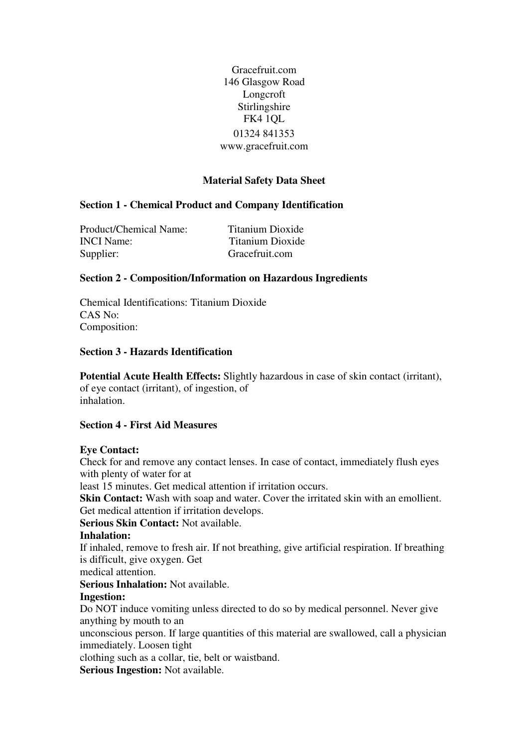Gracefruit.com 146 Glasgow Road Longcroft Stirlingshire FK4 1QL 01324 841353 www.gracefruit.com

# **Material Safety Data Sheet**

### **Section 1 - Chemical Product and Company Identification**

Product/Chemical Name: Titanium Dioxide INCI Name: Titanium Dioxide Supplier: Gracefruit.com

### **Section 2 - Composition/Information on Hazardous Ingredients**

Chemical Identifications: Titanium Dioxide CAS No: Composition:

#### **Section 3 - Hazards Identification**

**Potential Acute Health Effects:** Slightly hazardous in case of skin contact (irritant), of eye contact (irritant), of ingestion, of inhalation.

#### **Section 4 - First Aid Measures**

#### **Eye Contact:**

Check for and remove any contact lenses. In case of contact, immediately flush eyes with plenty of water for at

least 15 minutes. Get medical attention if irritation occurs.

**Skin Contact:** Wash with soap and water. Cover the irritated skin with an emollient. Get medical attention if irritation develops.

### **Serious Skin Contact:** Not available.

#### **Inhalation:**

If inhaled, remove to fresh air. If not breathing, give artificial respiration. If breathing is difficult, give oxygen. Get

medical attention.

**Serious Inhalation:** Not available.

### **Ingestion:**

Do NOT induce vomiting unless directed to do so by medical personnel. Never give anything by mouth to an

unconscious person. If large quantities of this material are swallowed, call a physician immediately. Loosen tight

clothing such as a collar, tie, belt or waistband.

**Serious Ingestion:** Not available.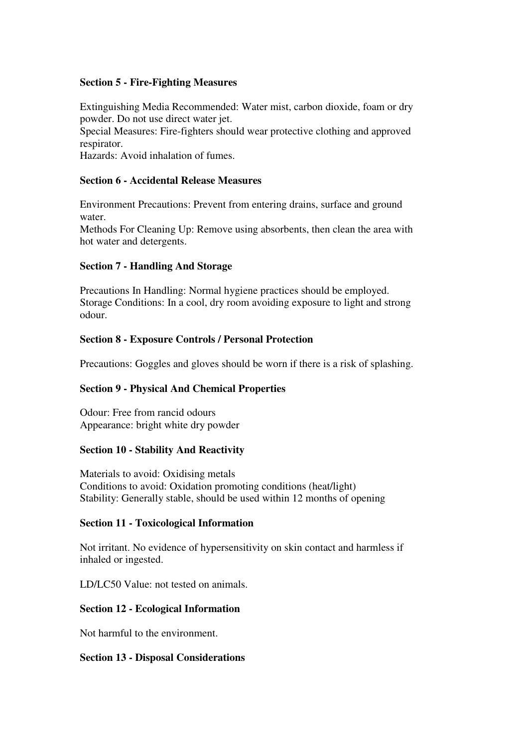### **Section 5 - Fire-Fighting Measures**

Extinguishing Media Recommended: Water mist, carbon dioxide, foam or dry powder. Do not use direct water jet.

Special Measures: Fire-fighters should wear protective clothing and approved respirator.

Hazards: Avoid inhalation of fumes.

# **Section 6 - Accidental Release Measures**

Environment Precautions: Prevent from entering drains, surface and ground water.

Methods For Cleaning Up: Remove using absorbents, then clean the area with hot water and detergents.

## **Section 7 - Handling And Storage**

Precautions In Handling: Normal hygiene practices should be employed. Storage Conditions: In a cool, dry room avoiding exposure to light and strong odour.

## **Section 8 - Exposure Controls / Personal Protection**

Precautions: Goggles and gloves should be worn if there is a risk of splashing.

### **Section 9 - Physical And Chemical Properties**

Odour: Free from rancid odours Appearance: bright white dry powder

### **Section 10 - Stability And Reactivity**

Materials to avoid: Oxidising metals Conditions to avoid: Oxidation promoting conditions (heat/light) Stability: Generally stable, should be used within 12 months of opening

### **Section 11 - Toxicological Information**

Not irritant. No evidence of hypersensitivity on skin contact and harmless if inhaled or ingested.

LD/LC50 Value: not tested on animals.

### **Section 12 - Ecological Information**

Not harmful to the environment.

### **Section 13 - Disposal Considerations**